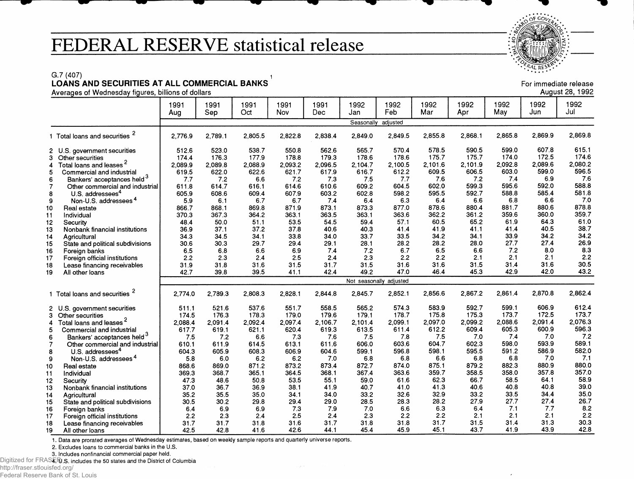## **FEDERAL RESERVE statistical release**

 $0<sub>k</sub>$  $\cdot$  $\cdot$  $R$ AL RESE $\cdot$ 

## G.7 (407) 1 **LOANS AND SECURITIES AT ALL COMMERCIAL BANKS**

|                |                                                | 1991       | 1991       | 1991         | 1991       | 1991         | 1992         | 1992                    | 1992         | 1992         | 1992         | 1992         | 1992         |
|----------------|------------------------------------------------|------------|------------|--------------|------------|--------------|--------------|-------------------------|--------------|--------------|--------------|--------------|--------------|
|                |                                                | Aug        | Sep        | Oct          | Nov        | Dec          | Jan          | Feb                     | Mar          | Apr          | May          | Jun          | Jul          |
|                |                                                |            |            |              |            |              | Seasonally   | adjusted                |              |              |              |              |              |
|                | 1 Total loans and securities                   | 2.776.9    | 2,789.1    | 2.805.5      | 2.822.8    | 2.838.4      | 2.849.0      | 2.849.5                 | 2,855.8      | 2.868.1      | 2.865.8      | 2.869.9      | 2,869.8      |
|                | 2 U.S. government securities                   | 512.6      | 523.0      | 538.7        | 550.8      | 562.6        | 565.7        | 570.4                   | 578.5        | 590.5        | 599.0        | 607.8        | 615.1        |
| 3              | Other securities                               | 174.4      | 176.3      | 177.9        | 178.8      | 179.3        | 178.6        | 178.6                   | 175.7        | 175.7        | 174.0        | 172.5        | 174.6        |
| 4              | Total loans and leases <sup>2</sup>            | 2.089.9    | 2,089.8    | 2.088.9      | 2,093.2    | 2.096.5      | 2.104.7      | 2.100.5                 | 2.101.6      | 2,101.9      | 2.092.8      | 2,089.6      | 2,080.2      |
| 5              | Commercial and industrial                      | 619.5      | 622.0      | 622.6        | 621.7      | 617.9        | 616.7        | 612.2                   | 609.5        | 606.5        | 603.0        | 599.0        | 596.5        |
| 6              | Bankers' acceptances held 3                    | 7.7        | 7.2        | 66           | 7.2        | 7.3          | 7.5          | 7.7                     | 7.6          | 7.2          | 7.4          | 6.9          | 7.6          |
| $\overline{7}$ | Other commercial and industrial                | 6118       | 614.7      | 616.1        | 614.6      | 610.6        | 609.2        | 604.5                   | 602.0        | 599.3        | 595.6        | 592.0        | 588.8        |
| 8              | U.S. addressees <sup>4</sup>                   | 605.9      | 608.6      | 609.4        | 607.9      | 603.2        | 602.8        | 598.2                   | 595.5        | 592.7        | 588.8        | 585.4        | 581.8        |
| 9              | Non-U.S. addressees <sup>4</sup>               | 5.9        | 6.1        | 6.7          | 6.7        | 7.4          | 6.4          | 6.3                     | 6.4          | 6.6          | 6.8          | 6.6          | 7.0          |
| 10             | Real estate                                    | 866.7      | 868.1      | 869.8        | 871.9      | 873.1        | 873.3        | 877.0                   | 878.6        | 880.4        | 881.7        | 880.6        | 878.8        |
| 11             | Individual                                     | 370.3      | 367.3      | 364.2        | 363.1      | 363.5        | 363.1        | 363.6                   | 362.2        | 361.2        | 359.6        | 360.0        | 359.7        |
| 12             | Security                                       | 48.4       | 50.0       | 51.1         | 53.5       | 54.5         | 59.4         | 57.1                    | 60.5         | 65.2         | 61.9         | 64.3         | 61.0<br>38.7 |
| 13             | Nonbank financial institutions                 | 36.9       | 37.1       | 37.2         | 37.8       | 40.6<br>34.0 | 40.3<br>33.7 | 41.4<br>33.5            | 41.9<br>34.2 | 41.1<br>34.1 | 41.4<br>33.9 | 40.5<br>34.2 | 34.2         |
| 14             | Agricultural                                   | 34.3       | 34.5       | 34.1<br>29.7 | 33.8       |              |              |                         | 28.2         | 28.0         | 27.7         | 27.4         | 26.9         |
| 15             | State and political subdivisions               | 30.6       | 30.3       | 6.6          | 29.4       | 29.1<br>7.4  | 28.1         | 28.2<br>6.7             | 6.5          | 6.6          | 7.2          | 8.0          | 8.3          |
| 16.            | Foreign banks                                  | 6.5<br>2.2 | 6.8<br>2.3 | 2.4          | 6.9<br>2.5 | 2.4          | 7.2<br>2.3   | 2.2                     | 2.2          | 2.1          | 2.1          | 2.1          | 2.2          |
| 17             | Foreign official institutions                  | 31.9       | 31.8       | 31.6         | 31.5       | 31.7         | 31.5         | 31.6                    | 31.6         | 31.5         | 31.4         | 31.6         | 30.5         |
| 18<br>19       | Lease financing receivables<br>All other loans | 42.7       | 39.8       | 39.5         | 41.1       | 42.4         | 49.2         | 47.0                    | 46.4         | 45.3         | 42.9         | 42.0         | 43.2         |
|                |                                                |            |            |              |            |              |              | Not seasonally adjusted |              |              |              |              |              |
|                |                                                |            |            |              |            |              |              |                         |              |              |              |              |              |
|                | 1 Total loans and securities                   | 2,774.0    | 2.789.3    | 2.808.3      | 2,828.1    | 2,844.8      | 2,845.7      | 2,852.1                 | 2.856.6      | 2,867.2      | 2,861.4      | 2,870.8      | 2,862.4      |
|                | 2 U.S. government securities                   | 511.1      | 521.6      | 537.6        | 551.7      | 558.5        | 565.2        | 574.3                   | 583.9        | 592.7        | 599.1        | 606.9        | 612.4        |
|                | 3 Other securities                             | 174.5      | 176.3      | 178.3        | 179.0      | 179.6        | 179.1        | 178.7                   | 175.8        | 175.3        | 173.7        | 172.5        | 173.7        |
| 4              | Total loans and leases <sup>2</sup>            | 2.088.4    | 2.091.4    | 2.092.4      | 2,097.4    | 2,106.7      | 2,101.4      | 2.099.1                 | 2.097.0      | 2.099.2      | 2,088.6      | 2.091.4      | 2,076.3      |
| 5              | Commercial and industrial                      | 617.7      | 619.1      | 621.1        | 620.4      | 619.3        | 613.5        | 611.4                   | 612.2        | 609.4        | 605.3        | 600.9        | 596.3        |
| 6              | Bankers' acceptances held <sup>3</sup>         | 7.5        | 7.2        | 6.6          | 7.3        | 7.6          | 7.5          | 7.8                     | 7.5          | 7.0          | 7.4          | 7.0          | 7.2          |
| $\overline{7}$ | Other commercial and industrial                | 610.1      | 611.9      | 614.5        | 613.1      | 611.6        | 606.0        | 603.6                   | 604.7        | 602.3        | 598.0        | 593.9        | 589.1        |
| 8              | U.S. addressees <sup>4</sup>                   | 604.3      | 605.9      | 608.3        | 606.9      | 604.6        | 599.1        | 596.8                   | 598.1        | 595.5        | 591.2        | 586.9        | 582.0        |
| 9              | Non-U.S. addressees <sup>4</sup>               | 5.8        | 6.0        | 6.2          | 6.2        | 7.0          | 6.8          | 6.8                     | 6.6          | 6.8          | 6.8          | 7.0          | 7.1          |
| 10             | Real estate                                    | 868.6      | 869.0      | 871.2        | 873.2      | 873.4        | 872.7        | 874.0                   | 875.1        | 879.2        | 882.3        | 880.9        | 880.0        |
| 11             | Individual                                     | 369.3      | 368.7      | 365.1        | 364.5      | 368.1        | 367.4        | 363.6                   | 359.7        | 358.5        | 358.0        | 357.8        | 357.0        |
| 12             | Security                                       | 47.3       | 48.6       | 50.8         | 53.5       | 55.1         | 59.0         | 61.6                    | 62.3         | 66.7         | 58.5         | 64.1         | 58.9         |
| 13             | Nonbank financial institutions                 | 37.0       | 36.7       | 36.9         | 38.1       | 41.9         | 40.7         | 41.0                    | 41.3         | 40.6         | 40.8         | 40.8         | 39.0         |
| 14             | Agricultural                                   | 35.2       | 35.5       | 35.0         | 34.1       | 34.0         | 33.2         | 32.6                    | 32.9         | 33.2         | 33.5         | 34.4         | 35.0         |
| 15             | State and political subdivisions               | 30.5       | 30.2       | 29.8         | 29.4       | 29.0         | 28.5         | 28.3                    | 28.2         | 27.9         | 27.7         | 27.4         | 26.7         |
| 16             | Foreign banks                                  | 6.4        | 6.9        | 6.9          | 7.3        | 7.9          | 7.0          | 6.6                     | 6.3          | 6.4          | 7.1          | 7.7          | 8.2<br>2.2   |
| 17             | Foreign official institutions                  | 2.2        | 2.3        | 2.4          | 2.5        | 2.4          | 2.3          | 2.2                     | 2.2<br>31.7  | 2.1          | 2.1          | 2.1          | 30.3         |
| 18             | Lease financing receivables                    | 31.7       | 31.7       | 31.8         | 31.6       | 31.7         | 31.8         | 31.8<br>45.9            | 45.1         | 31.5<br>43.7 | 31.4<br>41.9 | 31.3<br>43.9 | 42.8         |
| 19             | All other loans                                | 42.5       | 42.8       | 41.6         | 42.6       | 44.1         | 45.4         |                         |              |              |              |              |              |

1. Data are prorated averages of Wednesday estimates, based on weekly sample reports and quarterly universe reports.

2. Excludes loans to commercial banks in the U.S.

3. Includes nonfinancial commercial paper held.

Digitized for FRASERI.S. includes the 50 states and the District of Columbia

http://fraser.stlouisfed.org/

Federal Reserve Bank of St. Louis

August 28, 1992

For immediate release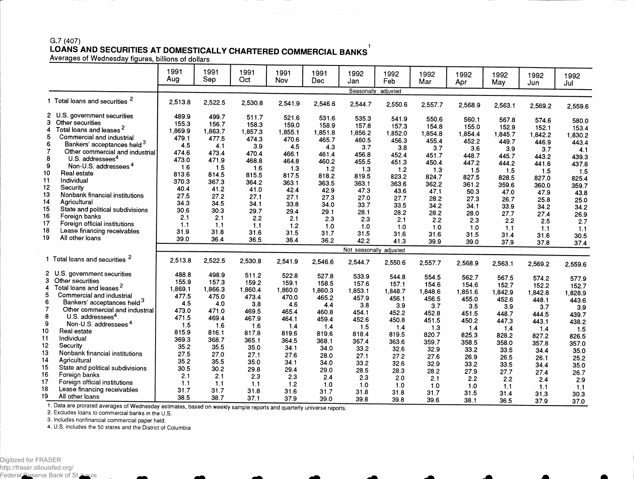## G.7 (407) **LOANS AND SECURITIES AT DOMESTICALLY CHARTERED COMMERCIAL BANKS**

Averages of Wednesday figures, billions of dollars

|                |                                           | 1991<br>Aug | 1991<br>Sep | 1991<br>Oct | 1991<br>Nov | 1991<br>Dec | 1992<br>Jan             | 1992<br>Feb   | 1992<br>Mar | 1992<br>Apr  | 1992<br>May      | 1992<br>Jun | 1992<br>Jul |
|----------------|-------------------------------------------|-------------|-------------|-------------|-------------|-------------|-------------------------|---------------|-------------|--------------|------------------|-------------|-------------|
|                |                                           |             |             |             |             |             | Seasonally adjusted     |               |             |              |                  |             |             |
|                | 1 Total loans and securities <sup>2</sup> | 2,513.8     | 2,522.5     | 2,530.8     | 2,541.9     | 2,546.6     | 2,544.7                 | 2.550.6       | 2,557.7     | 2,568.9      | 2,563.1          | 2,569.2     | 2,559.6     |
|                | 2 U.S. government securities              | 489.9       | 499.7       | 511.7       | 521.6       | 531.6       | 535.3                   | 541.9         | 550.6       | 560.1        |                  |             |             |
| 3              | Other securities                          | 155.3       | 156.7       | 158.3       | 159.0       | 158.9       | 157.8                   | 157.3         | 154.8       | 155.0        | 567.8<br>152.9   | 574.6       | 580.0       |
| 4              | Total loans and leases <sup>2</sup>       | 1,869.9     | 1,863.7     | 1,857.3     | 1,855.1     | 1,851.8     | 1,856.2                 | 1,852.0       | 1,854.8     | 1,854.4      | 1,845.7          | 152.1       | 153.4       |
| 5              | Commercial and industrial                 | 479.1       | 477.5       | 474.3       | 470.6       | 465.7       | 460.5                   | 456.3         | 455.4       | 452.2        | 449.7            | 1,842.2     | 1,830.2     |
| 6              | Bankers' acceptances held 3               | 4.5         | 4.1         | 3.9         | 4.5         | 4.3         | 3.7                     | 3.8           | 3.7         | 3.6          | 3.9              | 446.9       | 443.4       |
| 7              | Other commercial and industrial           | 474.6       | 473.4       | 470.4       | 466.1       | 461.4       | 456.8                   | 452.4         | 451.7       | 448.7        | 445.7            | 3.7         | 4.1         |
| 8              | U.S. addressees <sup>4</sup>              | 473.0       | 471.9       | 468.8       | 464.8       | 460.2       | 455.5                   | 451.3         | 450.4       | 447.2        | 444.2            | 443.2       | 439.3       |
| 9              | Non-U.S. addressees <sup>4</sup>          | 1.6         | 1.5         | 1.6         | 1.3         | 1.2         | 1.3                     | 1.2           | 1.3         | 1.5          |                  | 441.6       | 437.8       |
| 10             | Real estate                               | 813.6       | 814.5       | 815.5       | 817.5       | 818.2       | 819.5                   | 823.2         | 824.7       | 827.5        | 1.5              | 1.5         | 1.5         |
| 11             | Individual                                | 370.3       | 367.3       | 364.2       | 363.1       | 363.5       | 363.1                   | 363.6         | 362.2       |              | 828.5            | 827.0       | 825.4       |
| 12             | Security                                  | 40.4        | 41.2        | 41.0        | 42.4        | 42.9        | 47.3                    | 43.6          |             | 3612         | 359.6            | 360.0       | 359.7       |
| 13             | Nonbank financial institutions            | 27.5        | 27.2        | 27.1        | 27.1        | 27.3        | 27.0                    | 27.7          | 47.1        | 50.3         | 47.0             | 47.9        | 43.8        |
| 14             | Agricultural                              | 34.3        | 34.5        | 34.1        | 33.8        | 34.0        | 33.7                    | 33.5          | 28.2        | 27.3         | 26.7             | 25.8        | 25.0        |
| 15             | State and political subdivisions          | 30.6        | 30.3        | 29.7        | 29.4        | 29.1        | 28.1                    |               | 34.2        | 34.1         | 33.9             | 34.2        | 34.2        |
| 16             | Foreign banks                             | 2.1         | 2.1         | 2.2         | 2.1         | 2.3         | 2.3                     | 28.2<br>2.1   | 28.2        | 28.0         | 27.7             | 27.4        | 26.9        |
| 17             | Foreign official institutions             | 1.1         | 1.1         | 1.1         | 1.2         | 1.0         | 1.0                     |               | 2.2         | 2.3          | 2.2              | 2.5         | 2.7         |
| 18             | Lease financing receivables               | 31.9        | 31.8        | 31.6        | 31.5        | 31.7        | 31.5                    | 1.0           | 1.0         | 1.0          | 1.1              | 1.1         | 1.1         |
| 19             | All other loans                           | 39.0        | 36.4        | 36.5        | 36.4        | 36.2        | 42.2                    | 31.6<br>41.3  | 31.6        | 31.5         | 31.4             | 31.6        | 30.5        |
|                |                                           |             |             |             |             |             |                         |               | 39.9        | 39.0         | 37.9             | 37.8        | 37.4        |
|                |                                           |             |             |             |             |             | Not seasonally adjusted |               |             |              |                  |             |             |
|                | 1 Total loans and securities <sup>2</sup> | 2,513.8     | 2,522.5     | 2,530.8     | 2,541.9     | 2,546.6     | 2,544.7                 | 2,550.6       | 2,557.7     | 2,568.9      | 2,563.1          | 2,569.2     | 2,559.6     |
|                | 2 U.S. government securities              | 488.8       | 498.9       | 511.2       | 522.8       | 527.8       | 533.9                   | 544.8         | 554.5       | 562.7        | 567.5            | 574.2       |             |
| 3              | Other securities                          | 155.9       | 157.3       | 159.2       | 159.1       | 158.5       | 157.6                   | 157.1         | 154.6       | 154.6        | 152.7            | 152.2       | 577.9       |
| 4              | Total loans and leases <sup>2</sup>       | 1,869.1     | 1.866.3     | 1.860.4     | 1.860.0     | 1,860.3     | 1,853.1                 | 1,848.7       | 1,848.6     | 1,851.6      |                  |             | 152.7       |
| 5              | Commercial and industrial                 | 477.5       | 475.0       | 473.4       | 470.0       | 465.2       | 457.9                   | 456.1         | 456.5       | 455.0        | 1,842.9<br>452.6 | 1,842.8     | 1,828.9     |
| 6              | Bankers' acceptances held 3               | 4.5         | 4.0         | 3.8         | 4.6         | 4.4         | 3.8                     | 3.9           | 3.7         | 3.5          | 3.9              | 448.1       | 443.6       |
| $\overline{7}$ | Other commercial and industrial           | 473.0       | 471.0       | 469.5       | 465.4       | 460.8       | 454.1                   | 452.2         | 452.8       | 451.5        | 448.7            | 3.7         | 3.9         |
| 8              | U.S. addressees <sup>4</sup>              | 471.5       | 469.4       | 467.9       | 464.1       | 459.4       | 452.6                   | 450.8         | 451.5       | 450.2        |                  | 444.5       | 439.7       |
| 9              | Non-U.S. addressees <sup>4</sup>          | 1.5         | 1.6         | 1.6         | 1.4         | 1.4         | 1.5                     | 1.4           | 1.3         |              | 447.3            | 443.1       | 438.2       |
| 10             | Real estate                               | 815.9       | 816.1       | 817.8       | 819.6       | 819.6       | 818.4                   | 819.5         | 820.7       | 1.4<br>825.3 | 1.4              | 1.4         | 1.5         |
| 11             | Individual                                | 369.3       | 368.7       | 365.1       | 364.5       | 368.1       | 367.4                   |               |             |              | 828.2            | 827.2       | 826.5       |
| 12             | Security                                  | 35.2        | 35.5        | 35.0        | 34.1        | 34.0        | 33.2                    | 363.6<br>32.6 | 359.7       | 358.5        | 358.0            | 357.8       | 357.0       |
| 13             | Nonbank financial institutions            | 27.5        | 27.0        | 27.1        | 27.6        | 28.0        |                         |               | 32.9        | 33.2         | 33.5             | 34.4        | 35.0        |
| 14             | Agricultural                              | 35.2        | 35.5        | 35.0        | 34.1        | 34.0        | 27.1                    | 27.2          | 27.6        | 26.9         | 26.5             | 26.1        | 25.2        |
| 15             | State and political subdivisions          | 30.5        | 30.2        | 29.8        | 29.4        |             | 33.2                    | 32.6          | 32.9        | 33.2         | 33.5             | 34.4        | 35.0        |
| 16.            | Foreign banks                             | 2.1         | 2.1         | 2.3         | 2.3         | 29.0        | 28.5                    | 28.3          | 28.2        | 27.9         | 27.7             | 27.4        | 26.7        |
| 17             | Foreign official institutions             | 1.1         | 1.1         |             |             | 2.4         | 2.3                     | 2.0           | 2.1         | 2.2          | 2.2              | 2.4         | 2.9         |
| 18             | Lease financing receivables               | 31.7        | 31.7        | 1.1         | 1.2         | 1.0         | 1.0                     | 1.0           | 1.0         | 1.0          | 1.1              | 1.1         | 1.1         |
| 19             | All other loans                           | 38.5        | 38.7        | 31.8        | 31.6        | 31.7        | 31.8                    | 31.8          | 31.7        | 31.5         | 31.4             | 31.3        | 30.3        |
|                |                                           |             |             | 37.1        | 37.9        | 39.0        | 39.8                    | 39.8          | 39.6        | 38.1         | 36.5             | 37.9        | 37.0        |

1. Data are prorated averages of Wednesday estimates, based on weekly sample reports and quarterly universe reports.

2. Excludes loans to commercial banks in the U.S.

3. Includes nonfinancial commercial paper held.

4. U.S. includes the 50 states and the District of Columbia

Federal Reserve Bank of St. Louis